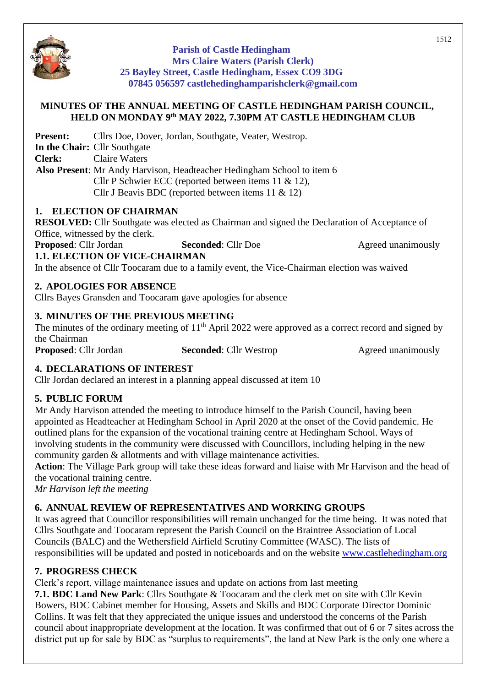

**Parish of Castle Hedingham Mrs Claire Waters (Parish Clerk) 25 Bayley Street, Castle Hedingham, Essex CO9 3DG 07845 056597 castlehedinghamparishclerk@gmail.com**

#### **MINUTES OF THE ANNUAL MEETING OF CASTLE HEDINGHAM PARISH COUNCIL, HELD ON MONDAY 9 th MAY 2022, 7.30PM AT CASTLE HEDINGHAM CLUB**

**Present:** Cllrs Doe, Dover, Jordan, Southgate, Veater, Westrop.

**In the Chair:** Cllr Southgate **Clerk:** Claire Waters

**Also Present**: Mr Andy Harvison, Headteacher Hedingham School to item 6 Cllr P Schwier ECC (reported between items 11 & 12), Cllr J Beavis BDC (reported between items 11 & 12)

## **1. ELECTION OF CHAIRMAN**

**RESOLVED:** Cllr Southgate was elected as Chairman and signed the Declaration of Acceptance of Office, witnessed by the clerk.

**Proposed:** Cllr Jordan **Seconded:** Cllr Doe Agreed unanimously **1.1. ELECTION OF VICE-CHAIRMAN**

In the absence of Cllr Toocaram due to a family event, the Vice-Chairman election was waived

## **2. APOLOGIES FOR ABSENCE**

Cllrs Bayes Gransden and Toocaram gave apologies for absence

## **3. MINUTES OF THE PREVIOUS MEETING**

The minutes of the ordinary meeting of  $11<sup>th</sup>$  April 2022 were approved as a correct record and signed by the Chairman

**Proposed:** Cllr Jordan **Seconded:** Cllr Westrop Agreed unanimously

## **4. DECLARATIONS OF INTEREST**

Cllr Jordan declared an interest in a planning appeal discussed at item 10

## **5. PUBLIC FORUM**

Mr Andy Harvison attended the meeting to introduce himself to the Parish Council, having been appointed as Headteacher at Hedingham School in April 2020 at the onset of the Covid pandemic. He outlined plans for the expansion of the vocational training centre at Hedingham School. Ways of involving students in the community were discussed with Councillors, including helping in the new community garden & allotments and with village maintenance activities.

**Action**: The Village Park group will take these ideas forward and liaise with Mr Harvison and the head of the vocational training centre.

*Mr Harvison left the meeting*

## **6. ANNUAL REVIEW OF REPRESENTATIVES AND WORKING GROUPS**

It was agreed that Councillor responsibilities will remain unchanged for the time being. It was noted that Cllrs Southgate and Toocaram represent the Parish Council on the Braintree Association of Local Councils (BALC) and the Wethersfield Airfield Scrutiny Committee (WASC). The lists of responsibilities will be updated and posted in noticeboards and on the website<www.castlehedingham.org>

## **7. PROGRESS CHECK**

Clerk's report, village maintenance issues and update on actions from last meeting

**7.1. BDC Land New Park**: Cllrs Southgate & Toocaram and the clerk met on site with Cllr Kevin Bowers, BDC Cabinet member for Housing, Assets and Skills and BDC Corporate Director Dominic Collins. It was felt that they appreciated the unique issues and understood the concerns of the Parish council about inappropriate development at the location. It was confirmed that out of 6 or 7 sites across the district put up for sale by BDC as "surplus to requirements", the land at New Park is the only one where a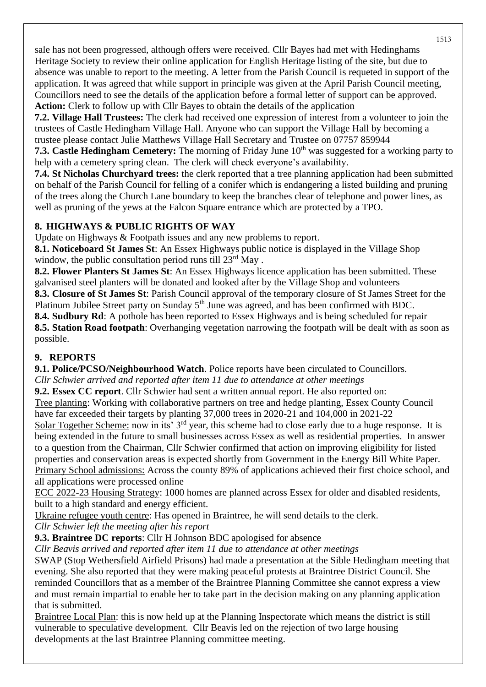sale has not been progressed, although offers were received. Cllr Bayes had met with Hedinghams Heritage Society to review their online application for English Heritage listing of the site, but due to absence was unable to report to the meeting. A letter from the Parish Council is requeted in support of the application. It was agreed that while support in principle was given at the April Parish Council meeting, Councillors need to see the details of the application before a formal letter of support can be approved. **Action:** Clerk to follow up with Cllr Bayes to obtain the details of the application

**7.2. Village Hall Trustees:** The clerk had received one expression of interest from a volunteer to join the trustees of Castle Hedingham Village Hall. Anyone who can support the Village Hall by becoming a trustee please contact Julie Matthews Village Hall Secretary and Trustee on 07757 859944

**7.3. Castle Hedingham Cemetery:** The morning of Friday June 10<sup>th</sup> was suggested for a working party to help with a cemetery spring clean. The clerk will check everyone's availability.

**7.4. St Nicholas Churchyard trees:** the clerk reported that a tree planning application had been submitted on behalf of the Parish Council for felling of a conifer which is endangering a listed building and pruning of the trees along the Church Lane boundary to keep the branches clear of telephone and power lines, as well as pruning of the yews at the Falcon Square entrance which are protected by a TPO.

# **8. HIGHWAYS & PUBLIC RIGHTS OF WAY**

Update on Highways & Footpath issues and any new problems to report.

**8.1. Noticeboard St James St**: An Essex Highways public notice is displayed in the Village Shop window, the public consultation period runs till  $23<sup>rd</sup>$  May.

**8.2. Flower Planters St James St**: An Essex Highways licence application has been submitted. These galvanised steel planters will be donated and looked after by the Village Shop and volunteers

**8.3. Closure of St James St**: Parish Council approval of the temporary closure of St James Street for the Platinum Jubilee Street party on Sunday 5<sup>th</sup> June was agreed, and has been confirmed with BDC.

**8.4. Sudbury Rd**: A pothole has been reported to Essex Highways and is being scheduled for repair **8.5. Station Road footpath**: Overhanging vegetation narrowing the footpath will be dealt with as soon as possible.

# **9. REPORTS**

**9.1. Police/PCSO/Neighbourhood Watch**. Police reports have been circulated to Councillors.

*Cllr Schwier arrived and reported after item 11 due to attendance at other meetings*

**9.2. Essex CC report**. Cllr Schwier had sent a written annual report. He also reported on: Tree planting: Working with collaborative partners on tree and hedge planting, Essex County Council have far exceeded their targets by planting 37,000 trees in 2020-21 and 104,000 in 2021-22

Solar Together Scheme: now in its' 3<sup>rd</sup> year, this scheme had to close early due to a huge response. It is being extended in the future to small businesses across Essex as well as residential properties. In answer to a question from the Chairman, Cllr Schwier confirmed that action on improving eligibility for listed properties and conservation areas is expected shortly from Government in the Energy Bill White Paper. Primary School admissions: Across the county 89% of applications achieved their first choice school, and all applications were processed online

ECC 2022-23 Housing Strategy: 1000 homes are planned across Essex for older and disabled residents, built to a high standard and energy efficient.

Ukraine refugee youth centre: Has opened in Braintree, he will send details to the clerk. *Cllr Schwier left the meeting after his report*

**9.3. Braintree DC reports**: Cllr H Johnson BDC apologised for absence

*Cllr Beavis arrived and reported after item 11 due to attendance at other meetings*

SWAP (Stop Wethersfield Airfield Prisons) had made a presentation at the Sible Hedingham meeting that evening. She also reported that they were making peaceful protests at Braintree District Council. She reminded Councillors that as a member of the Braintree Planning Committee she cannot express a view and must remain impartial to enable her to take part in the decision making on any planning application that is submitted.

Braintree Local Plan: this is now held up at the Planning Inspectorate which means the district is still vulnerable to speculative development. Cllr Beavis led on the rejection of two large housing developments at the last Braintree Planning committee meeting.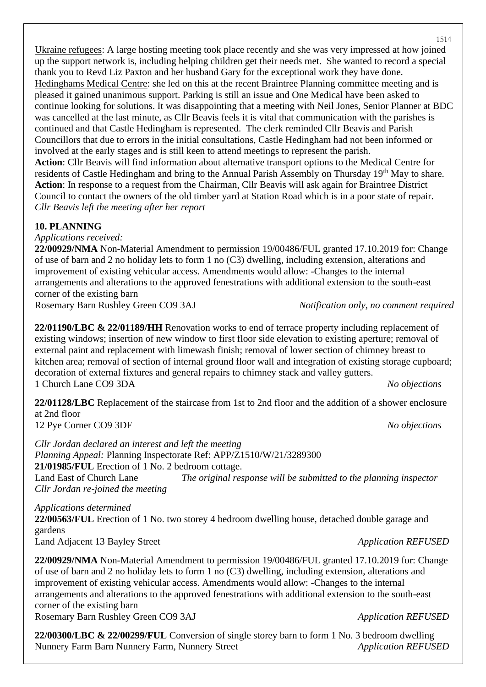Ukraine refugees: A large hosting meeting took place recently and she was very impressed at how joined up the support network is, including helping children get their needs met. She wanted to record a special thank you to Revd Liz Paxton and her husband Gary for the exceptional work they have done. Hedinghams Medical Centre: she led on this at the recent Braintree Planning committee meeting and is pleased it gained unanimous support. Parking is still an issue and One Medical have been asked to continue looking for solutions. It was disappointing that a meeting with Neil Jones, Senior Planner at BDC was cancelled at the last minute, as Cllr Beavis feels it is vital that communication with the parishes is continued and that Castle Hedingham is represented. The clerk reminded Cllr Beavis and Parish Councillors that due to errors in the initial consultations, Castle Hedingham had not been informed or involved at the early stages and is still keen to attend meetings to represent the parish. **Action**: Cllr Beavis will find information about alternative transport options to the Medical Centre for residents of Castle Hedingham and bring to the Annual Parish Assembly on Thursday 19<sup>th</sup> May to share. **Action**: In response to a request from the Chairman, Cllr Beavis will ask again for Braintree District Council to contact the owners of the old timber yard at Station Road which is in a poor state of repair. *Cllr Beavis left the meeting after her report*

#### **10. PLANNING**

*Applications received:*

**22/00929/NMA** Non-Material Amendment to permission 19/00486/FUL granted 17.10.2019 for: Change of use of barn and 2 no holiday lets to form 1 no (C3) dwelling, including extension, alterations and improvement of existing vehicular access. Amendments would allow: -Changes to the internal arrangements and alterations to the approved fenestrations with additional extension to the south-east corner of the existing barn

Rosemary Barn Rushley Green CO9 3AJ *Notification only, no comment required*

**22/01190/LBC & 22/01189/HH** Renovation works to end of terrace property including replacement of existing windows; insertion of new window to first floor side elevation to existing aperture; removal of external paint and replacement with limewash finish; removal of lower section of chimney breast to kitchen area; removal of section of internal ground floor wall and integration of existing storage cupboard; decoration of external fixtures and general repairs to chimney stack and valley gutters. 1 Church Lane CO9 3DA *No objections*

**22/01128/LBC** Replacement of the staircase from 1st to 2nd floor and the addition of a shower enclosure at 2nd floor 12 Pye Corner CO9 3DF *No objections*

*Cllr Jordan declared an interest and left the meeting Planning Appeal:* Planning Inspectorate Ref: APP/Z1510/W/21/3289300 **21/01985/FUL** Erection of 1 No. 2 bedroom cottage. Land East of Church Lane *The original response will be submitted to the planning inspector Cllr Jordan re-joined the meeting*

## *Applications determined*

**22/00563/FUL** Erection of 1 No. two storey 4 bedroom dwelling house, detached double garage and gardens Land Adjacent 13 Bayley Street *Application REFUSED* 

**22/00929/NMA** Non-Material Amendment to permission 19/00486/FUL granted 17.10.2019 for: Change of use of barn and 2 no holiday lets to form 1 no (C3) dwelling, including extension, alterations and improvement of existing vehicular access. Amendments would allow: -Changes to the internal arrangements and alterations to the approved fenestrations with additional extension to the south-east corner of the existing barn

Rosemary Barn Rushley Green CO9 3AJ *Application REFUSED*

**22/00300/LBC & 22/00299/FUL** Conversion of single storey barn to form 1 No. 3 bedroom dwelling Nunnery Farm Barn Nunnery Farm, Nunnery Street *Application REFUSED*

1514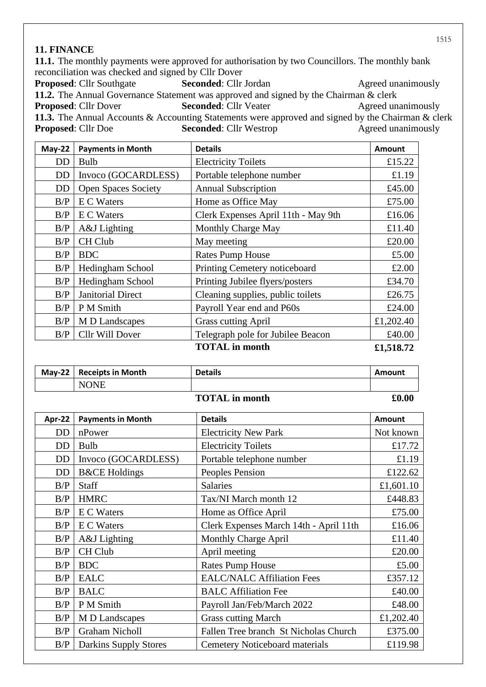#### **11. FINANCE**

**11.1.** The monthly payments were approved for authorisation by two Councillors. The monthly bank reconciliation was checked and signed by Cllr Dover

**Proposed**: Cllr Southgate **Seconded**: Cllr Jordan Agreed unanimously **11.2.** The Annual Governance Statement was approved and signed by the Chairman & clerk **Proposed:** Cllr Dover **Seconded:** Cllr Veater Agreed unanimously **11.3.** The Annual Accounts & Accounting Statements were approved and signed by the Chairman & clerk **Proposed:** Cllr Doe **Seconded:** Cllr Westrop Agreed unanimously

| $May-22$ | <b>Payments in Month</b>   | <b>Details</b>                      | <b>Amount</b> |
|----------|----------------------------|-------------------------------------|---------------|
| DD       | <b>Bulb</b>                | <b>Electricity Toilets</b>          | £15.22        |
| DD       | Invoco (GOCARDLESS)        | Portable telephone number           | £1.19         |
| DD       | <b>Open Spaces Society</b> | <b>Annual Subscription</b>          | £45.00        |
| B/P      | <b>E</b> C Waters          | Home as Office May                  | £75.00        |
| B/P      | E C Waters                 | Clerk Expenses April 11th - May 9th | £16.06        |
| B/P      | A&J Lighting               | Monthly Charge May                  | £11.40        |
| B/P      | CH Club                    | May meeting                         | £20.00        |
| B/P      | <b>BDC</b>                 | <b>Rates Pump House</b>             | £5.00         |
| B/P      | Hedingham School           | Printing Cemetery noticeboard       | £2.00         |
| B/P      | Hedingham School           | Printing Jubilee flyers/posters     | £34.70        |
| B/P      | Janitorial Direct          | Cleaning supplies, public toilets   | £26.75        |
| B/P      | P M Smith                  | Payroll Year end and P60s           | £24.00        |
| B/P      | M D Landscapes             | <b>Grass cutting April</b>          | £1,202.40     |
| B/P      | Cllr Will Dover            | Telegraph pole for Jubilee Beacon   | £40.00        |
|          |                            | <b>TOTAL</b> in month               | £1,518.72     |

| $May-22$              | <b>Receipts in Month</b>     | <b>Details</b>                         | Amount        |
|-----------------------|------------------------------|----------------------------------------|---------------|
|                       | <b>NONE</b>                  |                                        |               |
| <b>TOTAL</b> in month |                              |                                        | £0.00         |
| Apr-22                | <b>Payments in Month</b>     | <b>Details</b>                         | <b>Amount</b> |
| DD                    | nPower                       | <b>Electricity New Park</b>            | Not known     |
| <b>DD</b>             | <b>Bulb</b>                  | <b>Electricity Toilets</b>             | £17.72        |
| <b>DD</b>             | Invoco (GOCARDLESS)          | Portable telephone number              | £1.19         |
| DD                    | <b>B&amp;CE</b> Holdings     | Peoples Pension                        | £122.62       |
| B/P                   | <b>Staff</b>                 | <b>Salaries</b>                        | £1,601.10     |
| B/P                   | <b>HMRC</b>                  | Tax/NI March month 12                  | £448.83       |
| B/P                   | <b>EC</b> Waters             | Home as Office April                   | £75.00        |
| B/P                   | E C Waters                   | Clerk Expenses March 14th - April 11th | £16.06        |
| B/P                   | A&J Lighting                 | Monthly Charge April                   | £11.40        |
| B/P                   | CH Club                      | April meeting                          | £20.00        |
| B/P                   | <b>BDC</b>                   | <b>Rates Pump House</b>                | £5.00         |
| B/P                   | <b>EALC</b>                  | <b>EALC/NALC Affiliation Fees</b>      | £357.12       |
| B/P                   | <b>BALC</b>                  | <b>BALC</b> Affiliation Fee            | £40.00        |
| B/P                   | P M Smith                    | Payroll Jan/Feb/March 2022             | £48.00        |
| B/P                   | M D Landscapes               | <b>Grass cutting March</b>             | £1,202.40     |
| B/P                   | <b>Graham Nicholl</b>        | Fallen Tree branch St Nicholas Church  | £375.00       |
| B/P                   | <b>Darkins Supply Stores</b> | Cemetery Noticeboard materials         | £119.98       |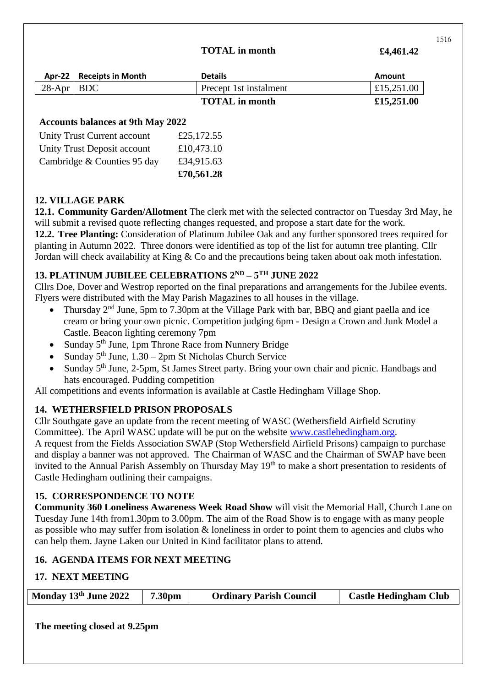#### **TOTAL in month £4,461.42**

|                                                                                           | Apr-22 Receipts in Month | <b>Details</b>         | <b>Amount</b> |  |
|-------------------------------------------------------------------------------------------|--------------------------|------------------------|---------------|--|
| $28$ -Apr   BDC                                                                           |                          | Precept 1st instalment | £15,251.00    |  |
|                                                                                           |                          | <b>TOTAL</b> in month  | £15,251.00    |  |
| <b>Accounts balances at 9th May 2022</b>                                                  |                          |                        |               |  |
| $\mathbf{r}$ , and $\mathbf{r}$ , and $\mathbf{r}$ , and $\mathbf{r}$<br>$0.25 \pm 0.025$ |                          |                        |               |  |

|                             | £70,561.28 |
|-----------------------------|------------|
| Cambridge & Counties 95 day | £34,915.63 |
| Unity Trust Deposit account | £10,473.10 |
| Unity Trust Current account | £25,172.55 |

## **12. VILLAGE PARK**

**12.1. Community Garden/Allotment** The clerk met with the selected contractor on Tuesday 3rd May, he will submit a revised quote reflecting changes requested, and propose a start date for the work.

**12.2. Tree Planting:** Consideration of Platinum Jubilee Oak and any further sponsored trees required for planting in Autumn 2022. Three donors were identified as top of the list for autumn tree planting. Cllr Jordan will check availability at King & Co and the precautions being taken about oak moth infestation.

#### **13. PLATINUM JUBILEE CELEBRATIONS 2ND – 5 TH JUNE 2022**

Cllrs Doe, Dover and Westrop reported on the final preparations and arrangements for the Jubilee events. Flyers were distributed with the May Parish Magazines to all houses in the village.

- Thursday 2nd June, 5pm to 7.30pm at the Village Park with bar, BBQ and giant paella and ice cream or bring your own picnic. Competition judging 6pm - Design a Crown and Junk Model a Castle. Beacon lighting ceremony 7pm
- Sunday 5<sup>th</sup> June, 1pm Throne Race from Nunnery Bridge
- Sunday  $5<sup>th</sup>$  June,  $1.30 2<sub>pm</sub>$  St Nicholas Church Service
- Sunday 5<sup>th</sup> June, 2-5pm, St James Street party. Bring your own chair and picnic. Handbags and hats encouraged. Pudding competition

All competitions and events information is available at Castle Hedingham Village Shop.

## **14. WETHERSFIELD PRISON PROPOSALS**

Cllr Southgate gave an update from the recent meeting of WASC (Wethersfield Airfield Scrutiny Committee). The April WASC update will be put on the website [www.castlehedingham.org.](www.castlehedingham.org)

A request from the Fields Association SWAP (Stop Wethersfield Airfield Prisons) campaign to purchase and display a banner was not approved. The Chairman of WASC and the Chairman of SWAP have been invited to the Annual Parish Assembly on Thursday May 19<sup>th</sup> to make a short presentation to residents of Castle Hedingham outlining their campaigns.

## **15. CORRESPONDENCE TO NOTE**

**Community 360 Loneliness Awareness Week Road Show** will visit the Memorial Hall, Church Lane on Tuesday June 14th from1.30pm to 3.00pm. The aim of the Road Show is to engage with as many people as possible who may suffer from isolation & loneliness in order to point them to agencies and clubs who can help them. Jayne Laken our United in Kind facilitator plans to attend.

## **16. AGENDA ITEMS FOR NEXT MEETING**

## **17. NEXT MEETING**

| Monday 13th June 2022        | 7.30 <sub>pm</sub> | <b>Ordinary Parish Council</b> | <b>Castle Hedingham Club</b> |
|------------------------------|--------------------|--------------------------------|------------------------------|
| The meeting closed at 9.25pm |                    |                                |                              |

1516